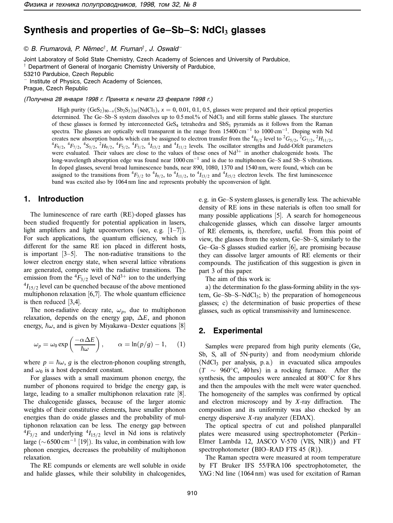# **Synthesis and properties of Ge–Sb–S: NdCl<sup>3</sup> glasses**

© B. Frumarová, P. Němec<sup>†</sup>, M. Fruman<sup>†</sup>, J. Oswald<sup>–</sup>

Joint Laboratory of Solid State Chemistry, Czech Academy of Sciences and University of Pardubice, <sup>†</sup> Department of General of Inorganic Chemistry University of Pardubice,

53210 Pardubice, Czech Republic

<sup>−</sup> Institute of Physics, Czech Academy of Sciences,

Prague, Czech Republic

(Получена 28 января 1998 г. Принята к печати 23 февраля 1998 г.)

High purity  $(GeS_2)_{80-x} (Sb_2S_3)_{20} (NdCl_3)_x x = 0$ , 0.01, 0.1, 0.5, glasses were prepared and their optical properties determined. The Ge–Sb–S system dissolves up to 0.5 mol.% of NdCl<sub>3</sub> and still forms stable glasses. The sturcture of these glasses is formed by interconnected GeS<sub>4</sub> tetrahedra and SbS<sub>3</sub> pyramids as it follows from the Raman spectra. The glasses are optically well transparent in the range from 15400 cm<sup>-1</sup> to 1000 cm<sup>-1</sup>. Doping with Nd creates new absorption bands which can be assigned to electron transfer from the  ${}^4I_{9/2}$  level to  ${}^2G_{5/2}$ ,  ${}^2G_{7/2}$ ,  ${}^2H_{11/2}$ ,  ${}^4F_{11/2}$ ,  ${}^4F_{11/2}$ ,  ${}^4F_{11/2}$ ,  ${}^4F_{11/2}$ ,  ${}^4F_{11/2}$ ,  ${}^4F_{11/$  $F_{9/2}$ ,  ${}^4F_{7/2}$ ,  ${}^4S_{3/2}$ ,  ${}^2H_{9/2}$ ,  ${}^4F_{5/2}$ ,  ${}^4F_{3/2}$ , and  ${}^4I_{11/2}$  levels. The oscillator strengths and Judd-Ofelt parameters were evaluated. Their values are close to the values of these ones of  $Nd^{3+}$  in another chalcogenide hosts. The long-wavelength absorption edge was found near 1000 cm<sup>−</sup><sup>1</sup> and is due to multiphonon Ge–S and Sb–S vibrations. In doped glasses, several broad luminescence bands, near 890, 1080, 1370 and 1540 nm, were found, which can be assigned to the transitions from  ${}^4F_{3/2}$  to  ${}^4I_{9/2}$ , to  ${}^4I_{11/2}$ , to  ${}^4I_{13/2}$  and  ${}^4I_{15/2}$  electron levels. The first luminescence band was excited also by 1064 nm line and represents probably the upconversion of light.

### **1. Introduction**

The luminescence of rare earth (RE)-doped glasses has been studied frequently for potential application in lasers, light amplifiers and light upconvertors (see, e.g.  $[1-7]$ ). For such applications, the quantum efficiency, which is different for the same RE ion placed in different hosts, is important [3–5]. The non-radiative transitions to the lower electron energy state, when several lattice vibrations are generated, compete with the radiative transitions. The emission from the  ${}^4F_{3/2}$  level of Nd<sup>3+</sup> ion to the underlying  $^{4}I_{15/2}$  level can be quenched because of the above mentioned multiphonon relaxation [6,7]. The whole quantum efficience is then reduced [3,4].

The non-radiative decay rate,  $\omega_p$ , due to multiphonon relaxation, depends on the energy gap, ∆*E*, and phonon energy,  $\hbar\omega$ , and is given by Miyakawa–Dexter equations [8]

$$
\omega_p = \omega_0 \exp\left(\frac{-\alpha \Delta E}{\hbar \omega}\right), \qquad \alpha = \ln(p/g) - 1, \qquad (1)
$$

where  $p = \hbar \omega$ , *g* is the electron-phonon coupling strength, and  $\omega_0$  is a host dependent constant.

For glasses with a small maximum phonon energy, the number of phonons required to bridge the energy gap, is large, leading to a smaller multiphonon relaxation rate [8]. The chalcogenide glasses, because of the larger atomic weights of their constitutive elements, have smaller phonon energies than do oxide glasses and the probability of multiphonon relaxation can be less. The energy gap between  ${}^{4}F_{3/2}$  and underlying  ${}^{4}I_{15/2}$  level in Nd ions is relatively large ( $\sim$  6500 cm<sup>-1</sup> [19]). Its value, in combination with low phonon energies, decreases the probability of multiphonon relaxation.

The RE compunds or elements are well soluble in oxide and halide glasses, while their solubility in chalcogenides, e. g. in Ge–S system glasses, is generally less. The achievable density of RE ions in these naterials is often too small for many possible applications [5]. A search for homogeneous chalcogenide glasses, which can dissolve larger amounts of RE elements, is, therefore, useful. From this point of view, the glasses from the system, Ge–Sb–S, similarly to the Ge–Ga–S glasses studied earlier [6], are promising because they can dissolve larger amounts of RE elements or their compounds. The justification of this suggestion is given in part 3 of this paper.

The aim of this work is:

a) the determination fo the glass-forming ability in the system, Ge–Sb–S–NdCl<sub>3</sub>; b) the preparation of homogeneous glasses; c) the determination of basic properties of these glasses, such as optical transmissivity and luminescence.

#### **2. Experimental**

Samples were prepared from high purity elements (Ge, Sb, S, all of 5N-purity) and from neodymium chloride (NdCl3 per analysis, p. a.) in evacuated silica ampoules  $(T \sim 960^{\circ}C, 40 \text{ hrs})$  in a rocking furnace. After the synthesis, the ampoules were annealed at 800°C for 8 hrs and then the ampoules with the melt were water quenched. The homogeneity of the samples was confirmed by optical and electron microscopy and by *X*-ray diffraction. The composition and its uniformity was also checked by an energy dispersive *X*-ray analyzer (EDAX).

The optical spectra of cut and polished planparallel plates were measured using spectrophotometer (Perkin– Elmer Lambda 12, JASCO V-570 (VIS, NIR)) and FT spectrophotometer (BIO–RAD FTS 45 (R)).

The Raman spectra were measured at room temperature by FT Bruker IFS 55/FRA 106 spectrophotometer, the YAG: Nd line (1064 nm) was used for excitation of Raman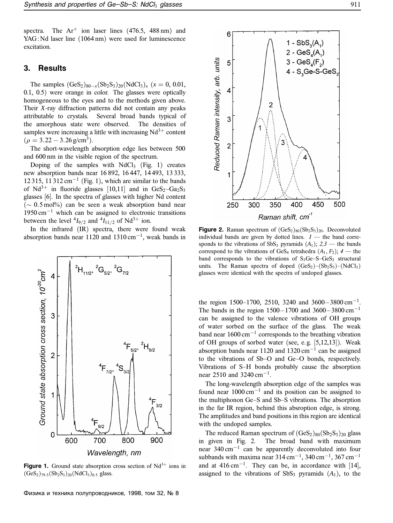spectra. The  $Ar^{+}$  ion laser lines (476.5, 488 nm) and YAG : Nd laser line (1064 nm) were used for luminescence excitation.

#### **3. Results**

The samples  $(GeS_2)_{80-x}(Sb_2S_3)_{20}(NdCl_3)_x$  ( $x = 0, 0.01$ , 0.1, 0.5) were orange in color. The glasses were optically homogeneous to the eyes and to the methods given above. Their *X*-ray diffraction patterns did not contain any peaks attributable to crystals. Several broad bands typical of the amorphous state were observed. The densities of samples were increasing a little with increasing  $Nd^{3+}$  content  $(\rho = 3.22 - 3.26 \text{ g/cm}^3)$ .

The short-wavelength absorption edge lies between 500 and 600 nm in the visible region of the spectrum.

Doping of the samples with  $NdCl<sub>3</sub>$  (Fig. 1) creates new absorption bands near 16 892, 16 447, 14 493, 13 333, 12 315, 11 312 cm<sup>-1</sup> (Fig. 1), which are similar to the bands of Nd<sup>3+</sup> in fluoride glasses [10,11] and in GeS<sub>2</sub>-Ga<sub>2</sub>S<sub>3</sub> glasses [6]. In the spectra of glasses with higher Nd content  $(\sim 0.5 \,\text{mol})\%$  can be seen a weak absorption band near 1950 cm<sup>−</sup><sup>1</sup> which can be assigned to electronic transitions between the level  ${}^4I_{9/2}$  and  ${}^4I_{11/2}$  of Nd<sup>3+</sup> ion.

In the infrared (IR) spectra, there were found weak absorption bands near 1120 and 1310 cm<sup>-1</sup>, weak bands in



**Figure 1.** Ground state absorption cross section of  $Nd^{3+}$  ions in  $(GeS<sub>2</sub>)<sub>79.5</sub>(Sb<sub>2</sub>S<sub>3</sub>)<sub>20</sub>(NdCl<sub>3</sub>)<sub>0.5</sub> glass.$ 

Физика и техника полупроводников, 1998, том 32, № 8



**Figure 2.** Raman spectrum of  $(GeS_2)_{80}(Sb_2S_3)_{20}$ . Deconvoluted individual bands are given by dotted lines.  $I$  — the band corresponds to the vibrations of SbS<sub>3</sub> pyramids  $(A_1)$ ;  $2,3$  — the bands correspond to the vibrations of GeS<sub>4</sub> tetrahedra  $(A_1, F_2)$ ;  $4$  — the band corresponds to the vibrations of  $S_3Ge-S-GeS_3$  structural units. The Raman spectra of doped  $(GeS_2) - (Sb_2S_3) - (NdCl_3)$ glasses were identical with the spectra of undoped glasses.

the region 1500–1700, 2510, 3240 and 3600–3800 cm<sup>-1</sup>. The bands in the region 1500−1700 and 3600−3800 cm<sup>-1</sup> can be assigned to the valence vibrations of OH groups of water sorbed on the surface of the glass. The weak band near 1600 cm<sup>−</sup><sup>1</sup> corresponds to the breathing vibration of OH groups of sorbed water (see, e. g. [5,12,13]). Weak absorption bands near 1120 and 1320 cm<sup>-1</sup> can be assigned to the vibrations of Sb–O and Ge–O bonds, respectively. Vibrations of S–H bonds probably cause the absorption near 2510 and 3240 cm<sup>-1</sup>.

The long-wavelength absorption edge of the samples was found near  $1000 \text{ cm}^{-1}$  and its position can be assigned to the multiphonon Ge–S and Sb–S vibrations. The absorption in the far IR region, behind this absroption edge, is strong. The amplitudes and band positions in this region are identical with the undoped samples.

The reduced Raman spectrum of  $(GeS<sub>2</sub>)<sub>80</sub>(Sb<sub>2</sub>S<sub>3</sub>)<sub>20</sub>$  glass in given in Fig. 2. The broad band with maximum near 340 cm<sup>−</sup><sup>1</sup> can be apparently deconvoluted into four subbands with maxima near 314 cm<sup>-1</sup>, 340 cm<sup>-1</sup>, 367 cm<sup>-1</sup> and at  $416 \text{ cm}^{-1}$ . They can be, in accordance with [14], assigned to the vibrations of  $SbS<sub>3</sub>$  pyramids  $(A<sub>1</sub>)$ , to the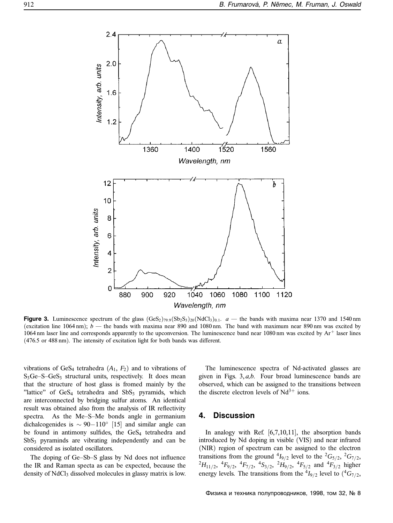

**Figure 3.** Luminescence spectrum of the glass  $(GeS_2)_{79.9}(Sb_2S_3)_{20}(NdCl_3)_{0.1}$ .  $a$  — the bands with maxima near 1370 and 1540 nm (excitation line 1064 nm);  $b$  — the bands with maxima near 890 and 1080 nm. The band with maximum near 890 nm was excited by 1064 nm laser line and corresponds apparently to the upconversion. The luminescence band near 1080 nm was excited by  $Ar^{+}$  laser lines (476.5 or 488 nm). The intensity of excitation light for both bands was different.

vibrations of GeS<sub>4</sub> tetrahedra  $(A_1, F_2)$  and to vibrations of  $S_3Ge-S-GeS_3$  structural units, respectively. It does mean that the structure of host glass is fromed mainly by the "lattice" of  $GeS<sub>4</sub>$  tetrahedra and  $SbS<sub>3</sub>$  pyramids, which are interconnected by bridging sulfur atoms. An identical result was obtained also from the analysis of IR reflectivity spectra. As the Me–S–Me bonds angle in germanium dichalcogenides is  $\sim 90-110°$  [15] and similar angle can be found in antimony sulfides, the GeS<sub>4</sub> tetrahedra and  $SbS<sub>3</sub>$  pyraminds are vibrating independently and can be considered as isolated oscillators.

The doping of Ge–Sb–S glass by Nd does not influence the IR and Raman specta as can be expected, because the density of NdCl<sub>3</sub> dissolved molecules in glassy matrix is low.

The luminescence spectra of Nd-activated glasses are given in Figs. 3, *a,b*. Four broad luminescence bands are observed, which can be assigned to the transitions between the discrete electron levels of  $Nd^{3+}$  ions.

# **4. Discussion**

In analogy with Ref.  $[6,7,10,11]$ , the absorption bands introduced by Nd doping in visible (VIS) and near infrared (NIR) region of spectrum can be assigned to the electron transitions from the ground  $^{4}I_{9/2}$  level to the  $^{2}G_{5/2}$ ,  $^{2}G_{7/2}$ ,  ${}^{2}H_{11/2}$ ,  ${}^{4}F_{9/2}$ ,  ${}^{4}F_{7/2}$ ,  ${}^{4}S_{3/2}$ ,  ${}^{2}H_{9/2}$ ,  ${}^{4}F_{5/2}$  and  ${}^{4}F_{3/2}$  higher energy levels. The transitions from the  ${}^4I_{9/2}$  level to  $({}^4G_{7/2},$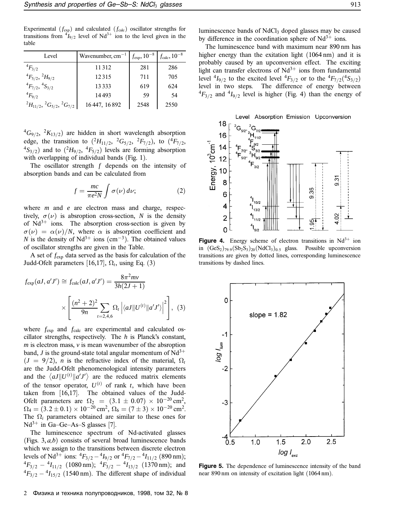Experimental  $(f_{exp})$  and calculated  $(f_{calc})$  oscillator strengths for transitions from  $\binom{4}{9/2}$  level of Nd<sup>3+</sup> ion to the level given in the table

| Level                                          | Wavenumber, $cm^{-1}$ | $f_{\rm exp}, 10^{-8}$ | $f_{\rm calc}, 10^{-8}$ |
|------------------------------------------------|-----------------------|------------------------|-------------------------|
| $^{4}F_{3/2}$                                  | 11312                 | 281                    | 286                     |
| ${}^{4}F_{5/2}$ , ${}^{2}H_{9/2}$              | 12315                 | 711                    | 705                     |
| ${}^4F_{7/2}$ , ${}^4S_{3/2}$                  | 13333                 | 619                    | 624                     |
| $^{4}F_{9/2}$                                  | 14493                 | 59                     | 54                      |
| $^{2}H_{11/2}$ , $^{2}G_{5/2}$ , $^{2}G_{7/2}$ | 16 447, 16 892        | 2548                   | 2550                    |

 ${}^{4}G_{9/2}$ ,  ${}^{2}K_{13/2}$ ) are hidden in short wavelength absorption edge, the transition to  $(^{2}H_{11/2}$ ,  $^2G_{5/2}$ ,  $^2F_{7/2}$ ), to  $(^{4}F_{7/2}$ ,  $^{4}S_{3/2}$ ) and to  $(^{2}H_{9/2}, \, ^{4}F_{5/2})$  levels are forming absorption with overlapping of individual bands (Fig. 1).

The oscillator strength *f* depends on the intensity of absorption bands and can be calculated from

$$
f = \frac{mc}{\pi e^2 N} \int \sigma(\nu) d\nu; \tag{2}
$$

where *m* and *e* are electron mass and charge, respectively,  $\sigma(\nu)$  is absroption cross-section, *N* is the density of  $Nd^{3+}$  ions. The absorption cross-section is given by  $\sigma(\nu) = \alpha(\nu)/N$ , where  $\alpha$  is absorption coefficient and *N* is the density of  $Nd^{3+}$  ions (cm<sup>-3</sup>). The obtained values of oscillator strengths are given in the Table.

A set of *f*exp data served as the basis for calculation of the Judd-Ofelt parameters [16,17],  $\Omega_t$ , using Eq. (3)

$$
f_{\exp}(aJ, a'J') \cong f_{\text{calc}}(aJ, a'J') = \frac{8\pi^2mv}{3h(2J+1)}
$$

$$
\times \left[ \frac{(n^2+2)^2}{9n} \sum_{t=2,4,6} \Omega_t \left| \langle aJ || U^{(t)} || a'J' \rangle \right|^2 \right], \tag{3}
$$

where  $f_{\text{exp}}$  and  $f_{\text{calc}}$  are experimental and calculated oscillator strengths, respectively. The *h* is Planck's constant, *m* is electron mass, *v* is mean wavenumber of the absroption band, *J* is the ground-state total angular momentum of  $Nd^{3+}$  $(J = 9/2)$ , *n* is the refractive index of the material,  $\Omega_t$ are the Judd-Ofelt phenomenological intensity parameters and the  $\langle aJ || U^{(t)} || a' J' \rangle$  are the reduced matrix elements of the tensor operator,  $U^{(t)}$  of rank *t*, which have been taken from [16,17]. The obtained values of the Judd-Ofelt parameters are  $\Omega_2 = (3.1 \pm 0.07) \times 10^{-20} \text{ cm}^2$ ,  $\Omega_4 = (3.2 \pm 0.1) \times 10^{-20} \, \mathrm{cm}^2, \, \Omega_6 = (7 \pm 3) \times 10^{-20} \, \mathrm{cm}^2.$ The  $\Omega_i$  parameters obtained are similar to these ones for  $Nd^{3+}$  in Ga–Ge–As–S glasses [7].

The luminescence spectrum of Nd-activated glasses (Figs. 3, *a,b*) consists of several broad luminescence bands which we assign to the transitions between discrete electron levels of Nd<sup>3+</sup> ions:  ${}^{4}F_{3/2} - {}^{4}I_{9/2}$  or  ${}^{4}F_{7/2} - {}^{4}I_{11/2}$  (890 nm);  ${}^{4}F_{3/2} - {}^{4}I_{11/2}$  (1080 nm);  ${}^{4}F_{3/2} - {}^{4}I_{13/2}$  (1370 nm); and  $^{4}F_{3/2} - ^{4}I_{15/2}$  (1540 nm). The different shape of individual luminescence bands of NdCl<sub>3</sub> doped glasses may be caused by difference in the coordination sphere of  $Nd^{3+}$  ions.

The luminescence band with maximum near 890 nm has higher energy than the exitation light (1064 nm) and it is probably caused by an upconversion effect. The exciting light can transfer electrons of  $Nd^{3+}$  ions from fundamental level  $^{4}I_{9/2}$  to the excited level  $^{4}F_{3/2}$  or to the  $^{4}F_{7/2}({}^{4}S_{3/2})$ level in two steps. The difference of energy between  ${}^{4}F_{3/2}$  and  ${}^{4}I_{9/2}$  level is higher (Fig. 4) than the energy of



**Figure 4.** Energy scheme of electron transitions in  $Nd^{3+}$  ion in  $(GeS<sub>2</sub>)_{79.9}(Sb<sub>2</sub>S<sub>3</sub>)_{20}(NdCl<sub>3</sub>)_{0.5}$  glass. Possible upconversion transitions are given by dotted lines, corresponding luminescence transitions by dashed lines.



**Figure 5.** The dependence of luminescence intensity of the band near 890 nm on intensity of excitation light (1064 nm).